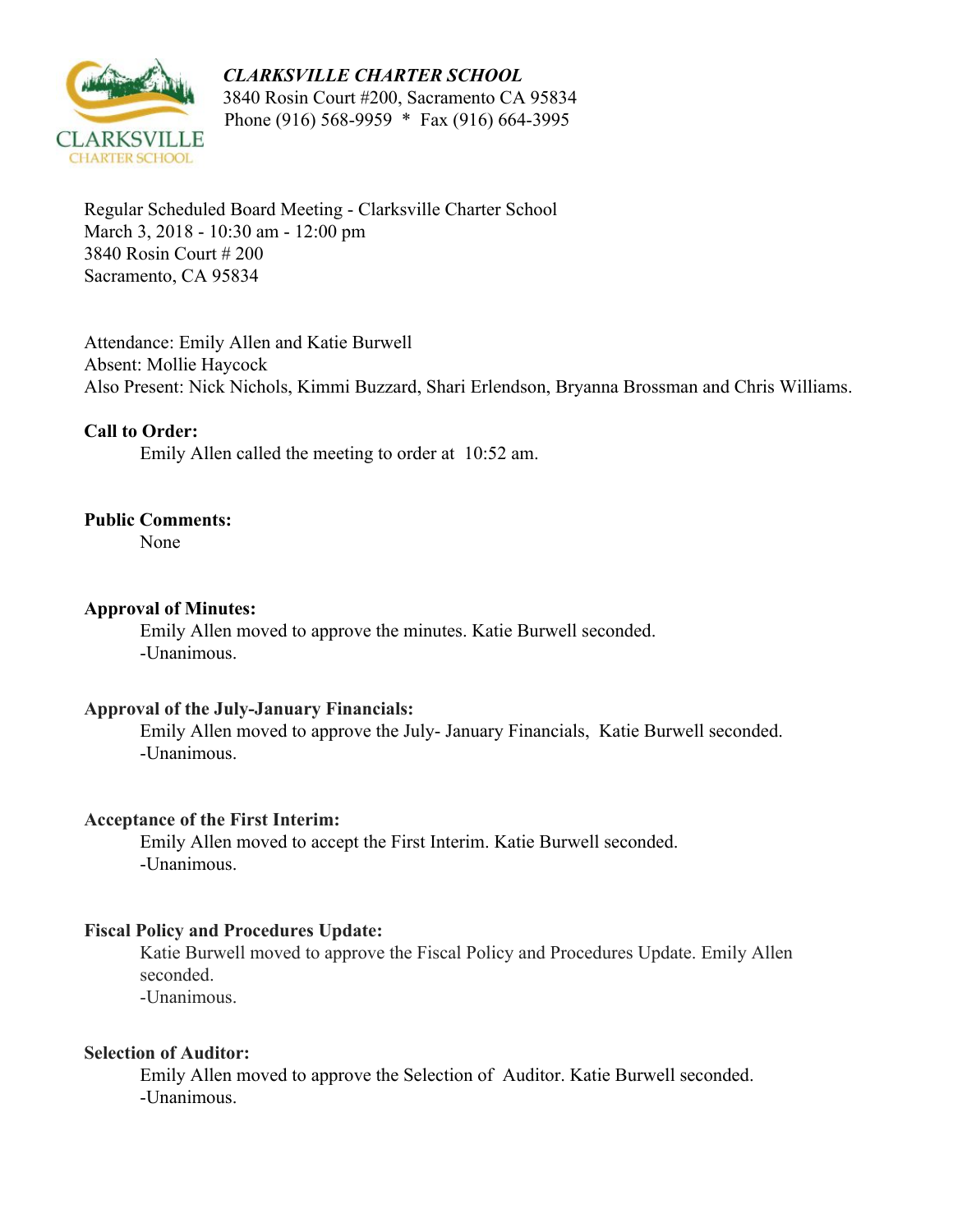# *CLARKSVILLE CHARTER SCHOOL*



 3840 Rosin Court #200, Sacramento CA 95834 Phone (916) 568-9959 \* Fax (916) 664-3995

Regular Scheduled Board Meeting - Clarksville Charter School March 3, 2018 - 10:30 am - 12:00 pm 3840 Rosin Court # 200 Sacramento, CA 95834

Attendance: Emily Allen and Katie Burwell Absent: Mollie Haycock Also Present: Nick Nichols, Kimmi Buzzard, Shari Erlendson, Bryanna Brossman and Chris Williams.

# **Call to Order:**

Emily Allen called the meeting to order at 10:52 am.

# **Public Comments:**

None

### **Approval of Minutes:**

Emily Allen moved to approve the minutes. Katie Burwell seconded. -Unanimous.

#### **Approval of the July-January Financials:**

Emily Allen moved to approve the July- January Financials, Katie Burwell seconded. -Unanimous.

#### **Acceptance of the First Interim:**

Emily Allen moved to accept the First Interim. Katie Burwell seconded. -Unanimous.

#### **Fiscal Policy and Procedures Update:**

Katie Burwell moved to approve the Fiscal Policy and Procedures Update. Emily Allen seconded.

-Unanimous.

### **Selection of Auditor:**

Emily Allen moved to approve the Selection of Auditor. Katie Burwell seconded. -Unanimous.